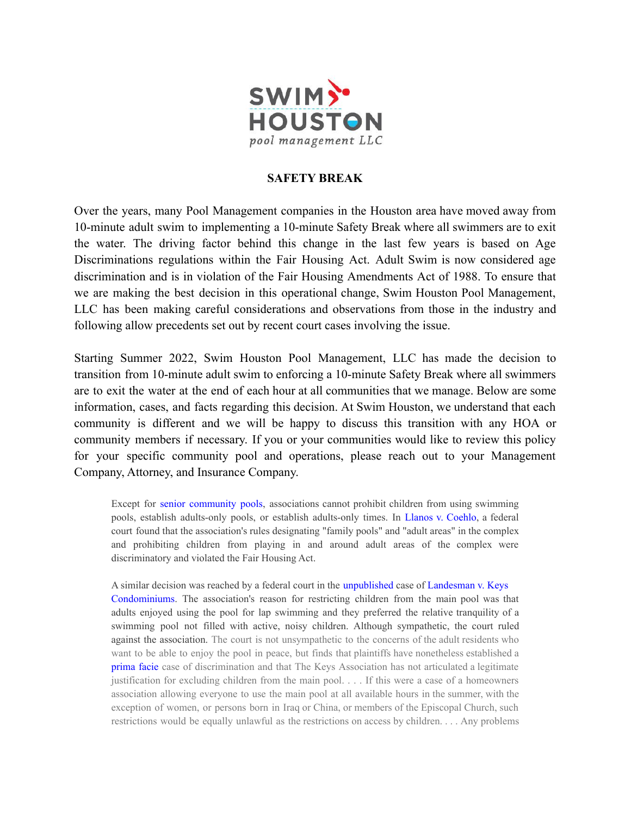

## **SAFETY BREAK**

Over the years, many Pool Management companies in the Houston area have moved away from 10-minute adult swim to implementing a 10-minute Safety Break where all swimmers are to exit the water. The driving factor behind this change in the last few years is based on Age Discriminations regulations within the Fair Housing Act. Adult Swim is now considered age discrimination and is in violation of the Fair Housing Amendments Act of 1988. To ensure that we are making the best decision in this operational change, Swim Houston Pool Management, LLC has been making careful considerations and observations from those in the industry and following allow precedents set out by recent court cases involving the issue.

Starting Summer 2022, Swim Houston Pool Management, LLC has made the decision to transition from 10-minute adult swim to enforcing a 10-minute Safety Break where all swimmers are to exit the water at the end of each hour at all communities that we manage. Below are some information, cases, and facts regarding this decision. At Swim Houston, we understand that each community is different and we will be happy to discuss this transition with any HOA or community members if necessary. If you or your communities would like to review this policy for your specific community pool and operations, please reach out to your Management Company, Attorney, and Insurance Company.

Except for senior community pools, associations cannot prohibit children from using swimming pools, establish adults-only pools, or establish adults-only times. In Llanos v. Coehlo, a federal court found that the association's rules designating "family pools" and "adult areas" in the complex and prohibiting children from playing in and around adult areas of the complex were discriminatory and violated the Fair Housing Act.

A similar decision was reached by a federal court in the unpublished case of Landesman v. Keys Condominiums. The association's reason for restricting children from the main pool was that adults enjoyed using the pool for lap swimming and they preferred the relative tranquility of a swimming pool not filled with active, noisy children. Although sympathetic, the court ruled against the association. The court is not unsympathetic to the concerns of the adult residents who want to be able to enjoy the pool in peace, but finds that plaintiffs have nonetheless established a prima facie case of discrimination and that The Keys Association has not articulated a legitimate justification for excluding children from the main pool. . . . If this were a case of a homeowners association allowing everyone to use the main pool at all available hours in the summer, with the exception of women, or persons born in Iraq or China, or members of the Episcopal Church, such restrictions would be equally unlawful as the restrictions on access by children. . . . Any problems